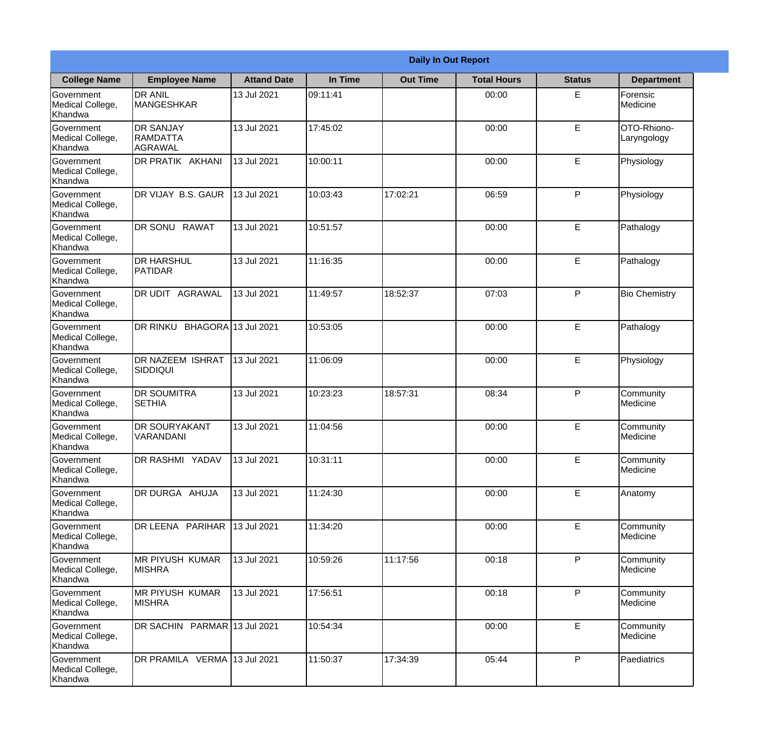|                                                  |                                                |                    |          | <b>Daily In Out Report</b> |                    |               |                            |
|--------------------------------------------------|------------------------------------------------|--------------------|----------|----------------------------|--------------------|---------------|----------------------------|
| <b>College Name</b>                              | <b>Employee Name</b>                           | <b>Attand Date</b> | In Time  | <b>Out Time</b>            | <b>Total Hours</b> | <b>Status</b> | <b>Department</b>          |
| Government<br>Medical College,<br>Khandwa        | <b>DR ANIL</b><br><b>MANGESHKAR</b>            | 13 Jul 2021        | 09:11:41 |                            | 00:00              | E             | Forensic<br>Medicine       |
| Government<br>Medical College,<br>Khandwa        | <b>DR SANJAY</b><br><b>RAMDATTA</b><br>AGRAWAL | 13 Jul 2021        | 17:45:02 |                            | 00:00              | E             | OTO-Rhiono-<br>Laryngology |
| <b>Government</b><br>Medical College,<br>Khandwa | DR PRATIK AKHANI                               | 13 Jul 2021        | 10:00:11 |                            | 00:00              | E             | Physiology                 |
| Government<br>Medical College,<br>Khandwa        | DR VIJAY B.S. GAUR                             | 13 Jul 2021        | 10:03:43 | 17:02:21                   | 06:59              | P             | Physiology                 |
| Government<br>Medical College,<br>Khandwa        | DR SONU RAWAT                                  | 13 Jul 2021        | 10:51:57 |                            | 00:00              | E             | Pathalogy                  |
| Government<br>Medical College,<br>Khandwa        | <b>DR HARSHUL</b><br>PATIDAR                   | 13 Jul 2021        | 11:16:35 |                            | 00:00              | E             | Pathalogy                  |
| Government<br>Medical College,<br>Khandwa        | <b>DR UDIT AGRAWAL</b>                         | 13 Jul 2021        | 11:49:57 | 18:52:37                   | 07:03              | P             | <b>Bio Chemistry</b>       |
| Government<br>Medical College,<br>Khandwa        | DR RINKU BHAGORA 13 Jul 2021                   |                    | 10:53:05 |                            | 00:00              | E             | Pathalogy                  |
| Government<br>Medical College,<br>Khandwa        | <b>DR NAZEEM ISHRAT</b><br>SIDDIQUI            | 13 Jul 2021        | 11:06:09 |                            | 00:00              | E             | Physiology                 |
| Government<br>Medical College,<br>Khandwa        | <b>DR SOUMITRA</b><br><b>SETHIA</b>            | 13 Jul 2021        | 10:23:23 | 18:57:31                   | 08:34              | P             | Community<br>Medicine      |
| Government<br>Medical College,<br>Khandwa        | <b>DR SOURYAKANT</b><br>VARANDANI              | 13 Jul 2021        | 11:04:56 |                            | 00:00              | E             | Community<br>Medicine      |
| Government<br>Medical College,<br>Khandwa        | <b>DR RASHMI YADAV</b>                         | 13 Jul 2021        | 10:31:11 |                            | 00:00              | $\mathsf E$   | Community<br>Medicine      |
| Government<br>Medical College,<br>Khandwa        | DR DURGA AHUJA                                 | 13 Jul 2021        | 11:24:30 |                            | 00:00              | E             | Anatomy                    |
| Government<br>Medical College,<br>Khandwa        | DR LEENA PARIHAR                               | 13 Jul 2021        | 11:34:20 |                            | 00:00              | $\mathsf E$   | Community<br>Medicine      |
| Government<br>Medical College,<br>Khandwa        | IMR PIYUSH KUMAR<br><b>MISHRA</b>              | 13 Jul 2021        | 10:59:26 | 11:17:56                   | 00:18              | P             | Community<br>Medicine      |
| Government<br>Medical College,<br>Khandwa        | <b>MR PIYUSH KUMAR</b><br><b>MISHRA</b>        | 13 Jul 2021        | 17:56:51 |                            | 00:18              | P             | Community<br>Medicine      |
| Government<br>Medical College,<br>Khandwa        | DR SACHIN PARMAR 13 Jul 2021                   |                    | 10:54:34 |                            | 00:00              | E             | Community<br>Medicine      |
| Government<br>Medical College,<br>Khandwa        | DR PRAMILA VERMA 13 Jul 2021                   |                    | 11:50:37 | 17:34:39                   | 05:44              | P             | Paediatrics                |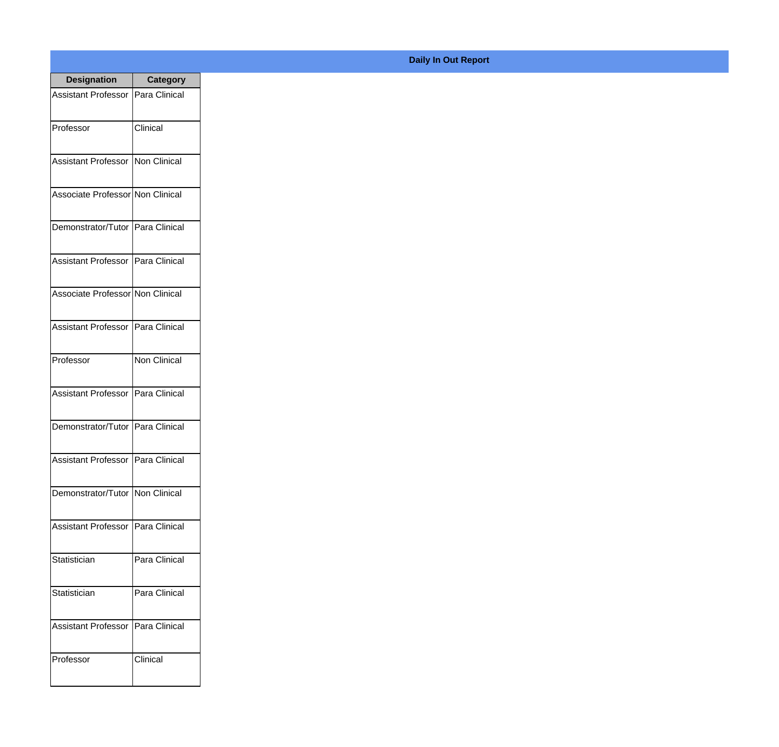| <b>Designation</b>                  | <b>Category</b>     |
|-------------------------------------|---------------------|
| Assistant Professor   Para Clinical |                     |
| Professor                           | Clinical            |
| Assistant Professor   Non Clinical  |                     |
| Associate Professor Non Clinical    |                     |
| Demonstrator/Tutor   Para Clinical  |                     |
| Assistant Professor   Para Clinical |                     |
| Associate Professor Non Clinical    |                     |
| Assistant Professor   Para Clinical |                     |
| Professor                           | <b>Non Clinical</b> |
| Assistant Professor   Para Clinical |                     |
| Demonstrator/Tutor   Para Clinical  |                     |
| Assistant Professor   Para Clinical |                     |
| Demonstrator/Tutor   Non Clinical   |                     |
| <b>Assistant Professor</b>          | Para Clinical       |
| Statistician                        | Para Clinical       |
| Statistician                        | Para Clinical       |
| <b>Assistant Professor</b>          | Para Clinical       |
| Professor                           | Clinical            |

## **Daily In Out Report**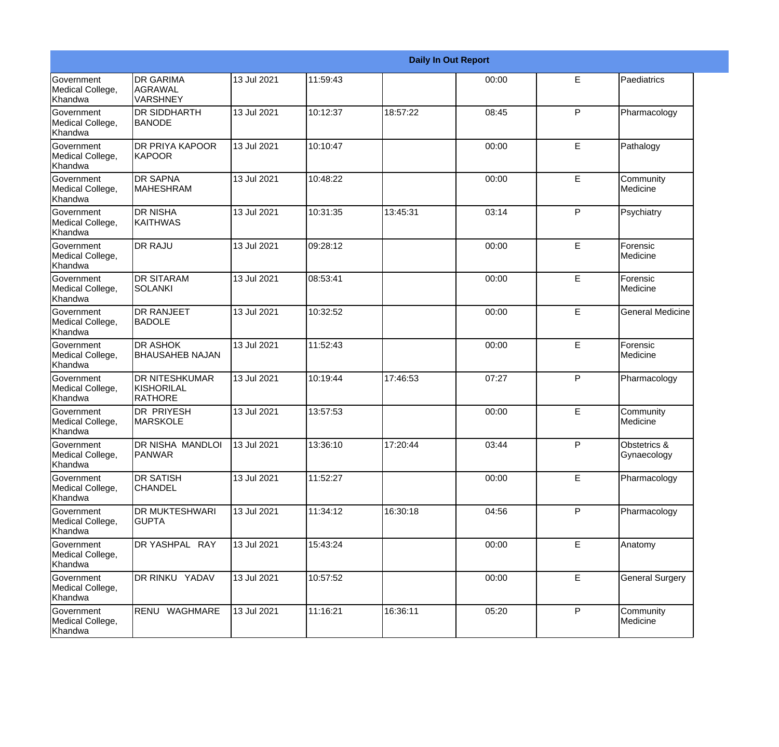|                                                  |                                                       |             |          |          | <b>Daily In Out Report</b> |              |                             |
|--------------------------------------------------|-------------------------------------------------------|-------------|----------|----------|----------------------------|--------------|-----------------------------|
| <b>Government</b><br>Medical College,<br>Khandwa | <b>DR GARIMA</b><br><b>AGRAWAL</b><br><b>VARSHNEY</b> | 13 Jul 2021 | 11:59:43 |          | 00:00                      | E            | Paediatrics                 |
| Government<br>Medical College,<br>Khandwa        | <b>DR SIDDHARTH</b><br><b>BANODE</b>                  | 13 Jul 2021 | 10:12:37 | 18:57:22 | 08:45                      | P            | Pharmacology                |
| Government<br>Medical College,<br>Khandwa        | DR PRIYA KAPOOR<br><b>KAPOOR</b>                      | 13 Jul 2021 | 10:10:47 |          | 00:00                      | E            | Pathalogy                   |
| <b>Government</b><br>Medical College,<br>Khandwa | <b>DR SAPNA</b><br>MAHESHRAM                          | 13 Jul 2021 | 10:48:22 |          | 00:00                      | E            | Community<br>Medicine       |
| <b>Government</b><br>Medical College,<br>Khandwa | <b>DR NISHA</b><br><b>KAITHWAS</b>                    | 13 Jul 2021 | 10:31:35 | 13:45:31 | 03:14                      | P            | Psychiatry                  |
| Government<br>Medical College,<br>Khandwa        | <b>DR RAJU</b>                                        | 13 Jul 2021 | 09:28:12 |          | 00:00                      | E            | Forensic<br>Medicine        |
| <b>Government</b><br>Medical College,<br>Khandwa | <b>DR SITARAM</b><br><b>SOLANKI</b>                   | 13 Jul 2021 | 08:53:41 |          | 00:00                      | E            | Forensic<br>Medicine        |
| Government<br>Medical College,<br>Khandwa        | <b>DR RANJEET</b><br><b>BADOLE</b>                    | 13 Jul 2021 | 10:32:52 |          | 00:00                      | E            | <b>General Medicine</b>     |
| <b>Government</b><br>Medical College,<br>Khandwa | <b>DR ASHOK</b><br><b>BHAUSAHEB NAJAN</b>             | 13 Jul 2021 | 11:52:43 |          | 00:00                      | E            | Forensic<br>Medicine        |
| Government<br>Medical College,<br>Khandwa        | <b>DR NITESHKUMAR</b><br>KISHORILAL<br><b>RATHORE</b> | 13 Jul 2021 | 10:19:44 | 17:46:53 | 07:27                      | P            | Pharmacology                |
| Government<br>Medical College,<br>Khandwa        | <b>DR PRIYESH</b><br><b>MARSKOLE</b>                  | 13 Jul 2021 | 13:57:53 |          | 00:00                      | E            | Community<br>Medicine       |
| Government<br>Medical College,<br>Khandwa        | DR NISHA MANDLOI<br>PANWAR                            | 13 Jul 2021 | 13:36:10 | 17:20:44 | 03:44                      | P            | Obstetrics &<br>Gynaecology |
| Government<br>Medical College,<br>Khandwa        | <b>DR SATISH</b><br><b>CHANDEL</b>                    | 13 Jul 2021 | 11:52:27 |          | 00:00                      | E.           | Pharmacology                |
| Government<br>Medical College,<br>Khandwa        | DR MUKTESHWARI<br><b>GUPTA</b>                        | 13 Jul 2021 | 11:34:12 | 16:30:18 | 04:56                      | P            | Pharmacology                |
| Government<br>Medical College,<br>Khandwa        | DR YASHPAL RAY                                        | 13 Jul 2021 | 15:43:24 |          | 00:00                      | E            | Anatomy                     |
| Government<br>Medical College,<br>Khandwa        | DR RINKU YADAV                                        | 13 Jul 2021 | 10:57:52 |          | 00:00                      | E            | <b>General Surgery</b>      |
| Government<br>Medical College,<br>Khandwa        | RENU WAGHMARE                                         | 13 Jul 2021 | 11:16:21 | 16:36:11 | 05:20                      | $\mathsf{P}$ | Community<br>Medicine       |